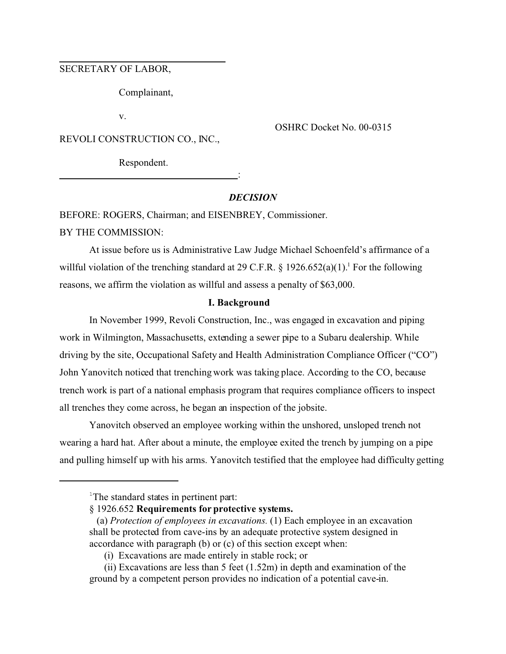# SECRETARY OF LABOR,

Complainant,

v.

OSHRC Docket No. 00-0315

REVOLI CONSTRUCTION CO., INC.,

Respondent.

# *DECISION*

:

BEFORE: ROGERS, Chairman; and EISENBREY, Commissioner.

BY THE COMMISSION:

At issue before us is Administrative Law Judge Michael Schoenfeld's affirmance of a willful violation of the trenching standard at 29 C.F.R.  $\S$  1926.652(a)(1).<sup>1</sup> For the following reasons, we affirm the violation as willful and assess a penalty of \$63,000.

#### **I. Background**

In November 1999, Revoli Construction, Inc., was engaged in excavation and piping work in Wilmington, Massachusetts, extending a sewer pipe to a Subaru dealership. While driving by the site, Occupational Safety and Health Administration Compliance Officer ("CO") John Yanovitch noticed that trenching work was taking place. According to the CO, because trench work is part of a national emphasis program that requires compliance officers to inspect all trenches they come across, he began an inspection of the jobsite.

Yanovitch observed an employee working within the unshored, unsloped trench not wearing a hard hat. After about a minute, the employee exited the trench by jumping on a pipe and pulling himself up with his arms. Yanovitch testified that the employee had difficulty getting

<sup>&</sup>lt;sup>1</sup>The standard states in pertinent part:

<sup>§ 1926.652</sup> **Requirements for protective systems.** 

<sup>(</sup>a) *Protection of employees in excavations.* (1) Each employee in an excavation shall be protected from cave-ins by an adequate protective system designed in accordance with paragraph (b) or (c) of this section except when:

<sup>(</sup>i) Excavations are made entirely in stable rock; or

<sup>(</sup>ii) Excavations are less than 5 feet (1.52m) in depth and examination of the ground by a competent person provides no indication of a potential cave-in.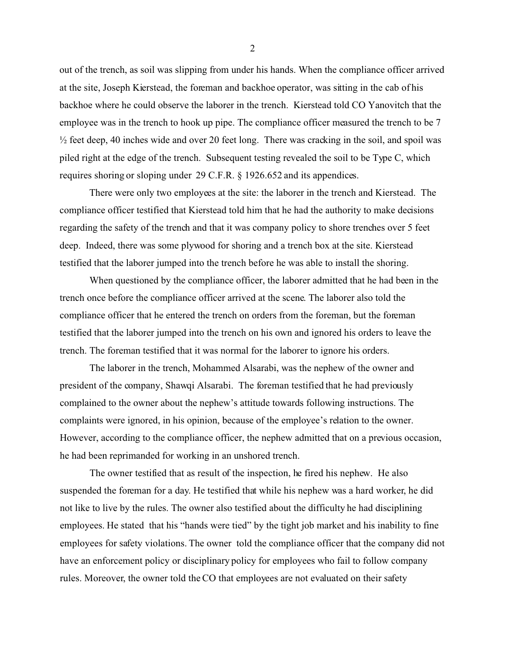out of the trench, as soil was slipping from under his hands. When the compliance officer arrived at the site, Joseph Kierstead, the foreman and backhoe operator, was sitting in the cab of his backhoe where he could observe the laborer in the trench. Kierstead told CO Yanovitch that the employee was in the trench to hook up pipe. The compliance officer measured the trench to be 7 ½ feet deep, 40 inches wide and over 20 feet long. There was cracking in the soil, and spoil was piled right at the edge of the trench. Subsequent testing revealed the soil to be Type C, which requires shoring or sloping under 29 C.F.R. § 1926.652 and its appendices.

There were only two employees at the site: the laborer in the trench and Kierstead. The compliance officer testified that Kierstead told him that he had the authority to make decisions regarding the safety of the trench and that it was company policy to shore trenches over 5 feet deep. Indeed, there was some plywood for shoring and a trench box at the site. Kierstead testified that the laborer jumped into the trench before he was able to install the shoring.

When questioned by the compliance officer, the laborer admitted that he had been in the trench once before the compliance officer arrived at the scene. The laborer also told the compliance officer that he entered the trench on orders from the foreman, but the foreman testified that the laborer jumped into the trench on his own and ignored his orders to leave the trench. The foreman testified that it was normal for the laborer to ignore his orders.

The laborer in the trench, Mohammed Alsarabi, was the nephew of the owner and president of the company, Shawqi Alsarabi. The foreman testified that he had previously complained to the owner about the nephew's attitude towards following instructions. The complaints were ignored, in his opinion, because of the employee's relation to the owner. However, according to the compliance officer, the nephew admitted that on a previous occasion, he had been reprimanded for working in an unshored trench.

The owner testified that as result of the inspection, he fired his nephew. He also suspended the foreman for a day. He testified that while his nephew was a hard worker, he did not like to live by the rules. The owner also testified about the difficulty he had disciplining employees. He stated that his "hands were tied" by the tight job market and his inability to fine employees for safety violations. The owner told the compliance officer that the company did not have an enforcement policy or disciplinary policy for employees who fail to follow company rules. Moreover, the owner told the CO that employees are not evaluated on their safety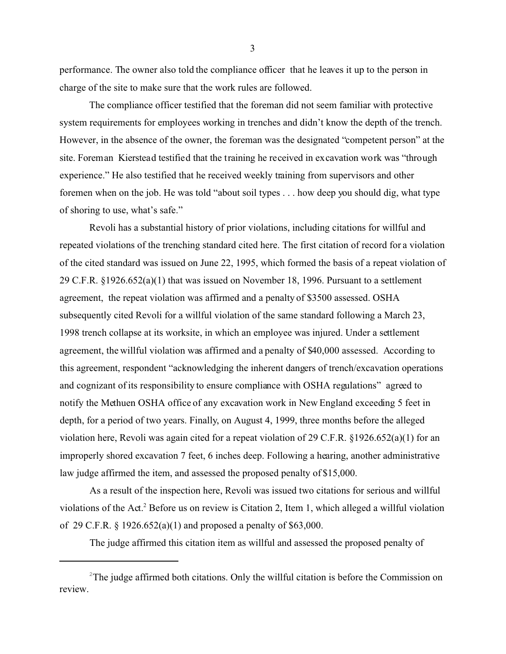performance. The owner also told the compliance officer that he leaves it up to the person in charge of the site to make sure that the work rules are followed.

The compliance officer testified that the foreman did not seem familiar with protective system requirements for employees working in trenches and didn't know the depth of the trench. However, in the absence of the owner, the foreman was the designated "competent person" at the site. Foreman Kierstead testified that the training he received in excavation work was "through experience." He also testified that he received weekly training from supervisors and other foremen when on the job. He was told "about soil types . . . how deep you should dig, what type of shoring to use, what's safe."

Revoli has a substantial history of prior violations, including citations for willful and repeated violations of the trenching standard cited here. The first citation of record for a violation of the cited standard was issued on June 22, 1995, which formed the basis of a repeat violation of 29 C.F.R. §1926.652(a)(1) that was issued on November 18, 1996. Pursuant to a settlement agreement, the repeat violation was affirmed and a penalty of \$3500 assessed. OSHA subsequently cited Revoli for a willful violation of the same standard following a March 23, 1998 trench collapse at its worksite, in which an employee was injured. Under a settlement agreement, the willful violation was affirmed and a penalty of \$40,000 assessed. According to this agreement, respondent "acknowledging the inherent dangers of trench/excavation operations and cognizant of its responsibility to ensure compliance with OSHA regulations" agreed to notify the Methuen OSHA office of any excavation work in New England exceeding 5 feet in depth, for a period of two years. Finally, on August 4, 1999, three months before the alleged violation here, Revoli was again cited for a repeat violation of 29 C.F.R. §1926.652(a)(1) for an improperly shored excavation 7 feet, 6 inches deep. Following a hearing, another administrative law judge affirmed the item, and assessed the proposed penalty of \$15,000.

As a result of the inspection here, Revoli was issued two citations for serious and willful violations of the Act.<sup>2</sup> Before us on review is Citation 2, Item 1, which alleged a willful violation of 29 C.F.R. § 1926.652(a)(1) and proposed a penalty of \$63,000.

The judge affirmed this citation item as willful and assessed the proposed penalty of

 $2^2$ The judge affirmed both citations. Only the willful citation is before the Commission on review.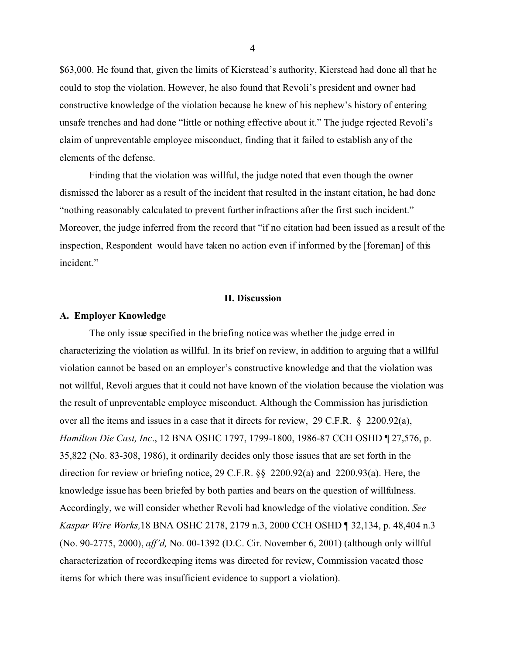\$63,000. He found that, given the limits of Kierstead's authority, Kierstead had done all that he could to stop the violation. However, he also found that Revoli's president and owner had constructive knowledge of the violation because he knew of his nephew's history of entering unsafe trenches and had done "little or nothing effective about it." The judge rejected Revoli's claim of unpreventable employee misconduct, finding that it failed to establish any of the elements of the defense.

Finding that the violation was willful, the judge noted that even though the owner dismissed the laborer as a result of the incident that resulted in the instant citation, he had done "nothing reasonably calculated to prevent further infractions after the first such incident." Moreover, the judge inferred from the record that "if no citation had been issued as a result of the inspection, Respondent would have taken no action even if informed by the [foreman] of this incident."

#### **II. Discussion**

#### **A. Employer Knowledge**

The only issue specified in the briefing notice was whether the judge erred in characterizing the violation as willful. In its brief on review, in addition to arguing that a willful violation cannot be based on an employer's constructive knowledge and that the violation was not willful, Revoli argues that it could not have known of the violation because the violation was the result of unpreventable employee misconduct. Although the Commission has jurisdiction over all the items and issues in a case that it directs for review, 29 C.F.R. § 2200.92(a), *Hamilton Die Cast, Inc*., 12 BNA OSHC 1797, 1799-1800, 1986-87 CCH OSHD ¶ 27,576, p. 35,822 (No. 83-308, 1986), it ordinarily decides only those issues that are set forth in the direction for review or briefing notice, 29 C.F.R. §§ 2200.92(a) and 2200.93(a). Here, the knowledge issue has been briefed by both parties and bears on the question of willfulness. Accordingly, we will consider whether Revoli had knowledge of the violative condition. *See Kaspar Wire Works,*18 BNA OSHC 2178, 2179 n.3, 2000 CCH OSHD ¶ 32,134, p. 48,404 n.3 (No. 90-2775, 2000), *aff'd,* No. 00-1392 (D.C. Cir. November 6, 2001) (although only willful characterization of recordkeeping items was directed for review, Commission vacated those items for which there was insufficient evidence to support a violation).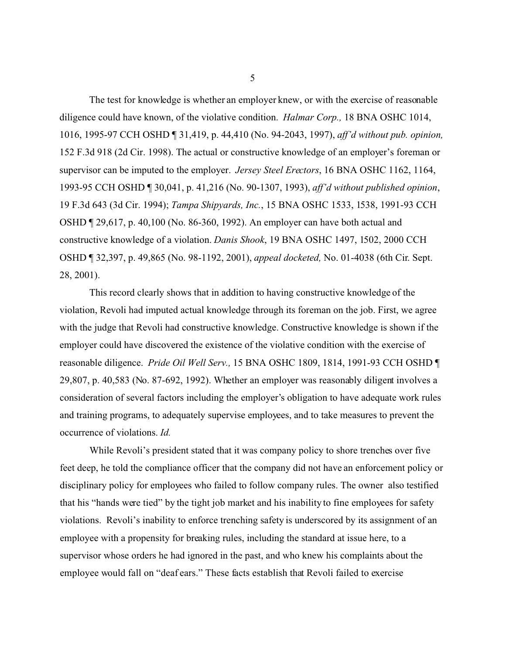The test for knowledge is whether an employer knew, or with the exercise of reasonable diligence could have known, of the violative condition. *Halmar Corp.,* 18 BNA OSHC 1014, 1016, 1995-97 CCH OSHD ¶ 31,419, p. 44,410 (No. 94-2043, 1997), *aff'd without pub. opinion,*  152 F.3d 918 (2d Cir. 1998). The actual or constructive knowledge of an employer's foreman or supervisor can be imputed to the employer. *Jersey Steel Erectors*, 16 BNA OSHC 1162, 1164, 1993-95 CCH OSHD ¶ 30,041, p. 41,216 (No. 90-1307, 1993), *aff'd without published opinion*, 19 F.3d 643 (3d Cir. 1994); *Tampa Shipyards, Inc.*, 15 BNA OSHC 1533, 1538, 1991-93 CCH OSHD ¶ 29,617, p. 40,100 (No. 86-360, 1992). An employer can have both actual and constructive knowledge of a violation. *Danis Shook*, 19 BNA OSHC 1497, 1502, 2000 CCH OSHD ¶ 32,397, p. 49,865 (No. 98-1192, 2001), *appeal docketed,* No. 01-4038 (6th Cir. Sept. 28, 2001).

This record clearly shows that in addition to having constructive knowledge of the violation, Revoli had imputed actual knowledge through its foreman on the job. First, we agree with the judge that Revoli had constructive knowledge. Constructive knowledge is shown if the employer could have discovered the existence of the violative condition with the exercise of reasonable diligence. *Pride Oil Well Serv.,* 15 BNA OSHC 1809, 1814, 1991-93 CCH OSHD ¶ 29,807, p. 40,583 (No. 87-692, 1992). Whether an employer was reasonably diligent involves a consideration of several factors including the employer's obligation to have adequate work rules and training programs, to adequately supervise employees, and to take measures to prevent the occurrence of violations. *Id.* 

While Revoli's president stated that it was company policy to shore trenches over five feet deep, he told the compliance officer that the company did not have an enforcement policy or disciplinary policy for employees who failed to follow company rules. The owner also testified that his "hands were tied" by the tight job market and his inability to fine employees for safety violations. Revoli's inability to enforce trenching safety is underscored by its assignment of an employee with a propensity for breaking rules, including the standard at issue here, to a supervisor whose orders he had ignored in the past, and who knew his complaints about the employee would fall on "deaf ears." These facts establish that Revoli failed to exercise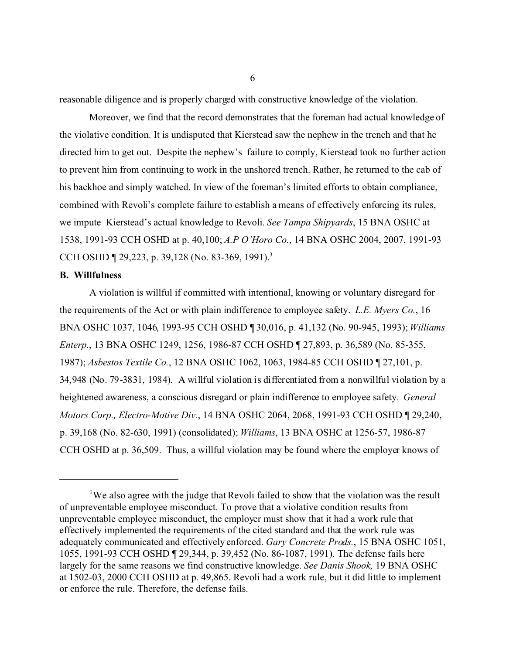reasonable diligence and is properly charged with constructive knowledge of the violation.

Moreover, we find that the record demonstrates that the foreman had actual knowledge of the violative condition. It is undisputed that Kierstead saw the nephew in the trench and that he directed him to get out. Despite the nephew's failure to comply, Kierstead took no further action to prevent him from continuing to work in the unshored trench. Rather, he returned to the cab of his backhoe and simply watched. In view of the foreman's limited efforts to obtain compliance, combined with Revoli's complete failure to establish a means of effectively enforcing its rules, we impute Kierstead's actual knowledge to Revoli. *See Tampa Shipyards*, 15 BNA OSHC at 1538, 1991-93 CCH OSHD at p. 40,100; *A.P O'Horo Co.*, 14 BNA OSHC 2004, 2007, 1991-93 CCH OSHD ¶ 29,223, p. 39,128 (No. 83-369, 1991).<sup>3</sup>

#### **B. Willfulness**

A violation is willful if committed with intentional, knowing or voluntary disregard for the requirements of the Act or with plain indifference to employee safety. *L.E. Myers Co.*, 16 BNA OSHC 1037, 1046, 1993-95 CCH OSHD ¶ 30,016, p. 41,132 (No. 90-945, 1993); *Williams Enterp.*, 13 BNA OSHC 1249, 1256, 1986-87 CCH OSHD ¶ 27,893, p. 36,589 (No. 85-355, 1987); *Asbestos Textile Co.*, 12 BNA OSHC 1062, 1063, 1984-85 CCH OSHD ¶ 27,101, p. 34,948 (No. 79-3831, 1984). A willful violation is differentiated from a nonwillful violation by a heightened awareness, a conscious disregard or plain indifference to employee safety. *General Motors Corp., Electro-Motive Div.*, 14 BNA OSHC 2064, 2068, 1991-93 CCH OSHD ¶ 29,240, p. 39,168 (No. 82-630, 1991) (consolidated); *Williams*, 13 BNA OSHC at 1256-57, 1986-87 CCH OSHD at p. 36,509. Thus, a willful violation may be found where the employer knows of

<sup>&</sup>lt;sup>3</sup>We also agree with the judge that Revoli failed to show that the violation was the result of unpreventable employee misconduct. To prove that a violative condition results from unpreventable employee misconduct, the employer must show that it had a work rule that effectively implemented the requirements of the cited standard and that the work rule was adequately communicated and effectively enforced. *Gary Concrete Prods.*, 15 BNA OSHC 1051, 1055, 1991-93 CCH OSHD ¶ 29,344, p. 39,452 (No. 86-1087, 1991). The defense fails here largely for the same reasons we find constructive knowledge. *See Danis Shook,* 19 BNA OSHC at 1502-03, 2000 CCH OSHD at p. 49,865. Revoli had a work rule, but it did little to implement or enforce the rule. Therefore, the defense fails.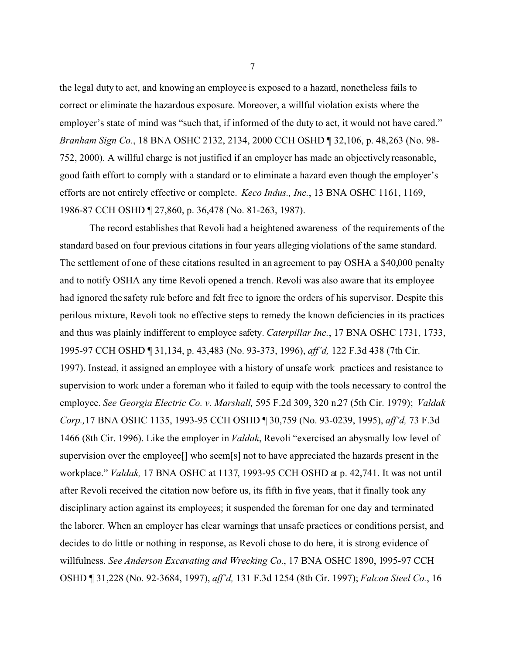the legal duty to act, and knowing an employee is exposed to a hazard, nonetheless fails to correct or eliminate the hazardous exposure. Moreover, a willful violation exists where the employer's state of mind was "such that, if informed of the duty to act, it would not have cared." *Branham Sign Co.*, 18 BNA OSHC 2132, 2134, 2000 CCH OSHD ¶ 32,106, p. 48,263 (No. 98- 752, 2000). A willful charge is not justified if an employer has made an objectively reasonable, good faith effort to comply with a standard or to eliminate a hazard even though the employer's efforts are not entirely effective or complete. *Keco Indus., Inc.*, 13 BNA OSHC 1161, 1169, 1986-87 CCH OSHD ¶ 27,860, p. 36,478 (No. 81-263, 1987).

The record establishes that Revoli had a heightened awareness of the requirements of the standard based on four previous citations in four years alleging violations of the same standard. The settlement of one of these citations resulted in an agreement to pay OSHA a \$40,000 penalty and to notify OSHA any time Revoli opened a trench. Revoli was also aware that its employee had ignored the safety rule before and felt free to ignore the orders of his supervisor. Despite this perilous mixture, Revoli took no effective steps to remedy the known deficiencies in its practices and thus was plainly indifferent to employee safety. *Caterpillar Inc.*, 17 BNA OSHC 1731, 1733, 1995-97 CCH OSHD ¶ 31,134, p. 43,483 (No. 93-373, 1996), *aff'd,* 122 F.3d 438 (7th Cir. 1997). Instead, it assigned an employee with a history of unsafe work practices and resistance to supervision to work under a foreman who it failed to equip with the tools necessary to control the employee. *See Georgia Electric Co. v. Marshall,* 595 F.2d 309, 320 n.27 (5th Cir. 1979); *Valdak Corp.,*17 BNA OSHC 1135, 1993-95 CCH OSHD ¶ 30,759 (No. 93-0239, 1995), *aff'd,* 73 F.3d 1466 (8th Cir. 1996). Like the employer in *Valdak*, Revoli "exercised an abysmally low level of supervision over the employee[] who seem[s] not to have appreciated the hazards present in the workplace." *Valdak,* 17 BNA OSHC at 1137, 1993-95 CCH OSHD at p. 42,741. It was not until after Revoli received the citation now before us, its fifth in five years, that it finally took any disciplinary action against its employees; it suspended the foreman for one day and terminated the laborer. When an employer has clear warnings that unsafe practices or conditions persist, and decides to do little or nothing in response, as Revoli chose to do here, it is strong evidence of willfulness. *See Anderson Excavating and Wrecking Co.*, 17 BNA OSHC 1890, 1995-97 CCH OSHD ¶ 31,228 (No. 92-3684, 1997), *aff'd,* 131 F.3d 1254 (8th Cir. 1997); *Falcon Steel Co.*, 16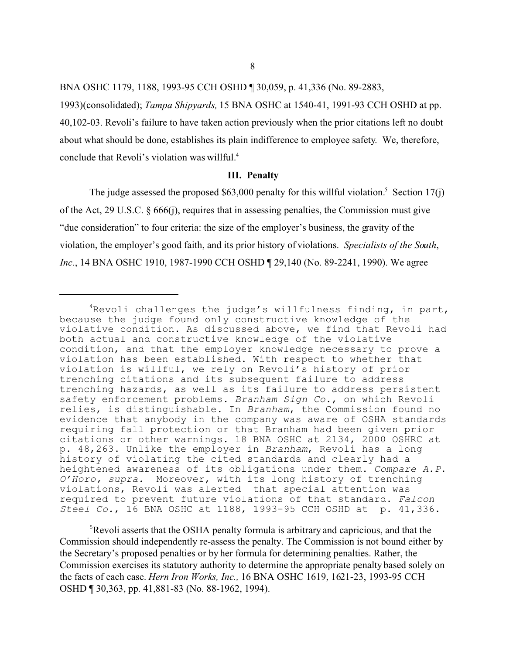BNA OSHC 1179, 1188, 1993-95 CCH OSHD ¶ 30,059, p. 41,336 (No. 89-2883,

1993)(consolidated); *Tampa Shipyards,* 15 BNA OSHC at 1540-41, 1991-93 CCH OSHD at pp. 40,102-03. Revoli's failure to have taken action previously when the prior citations left no doubt about what should be done, establishes its plain indifference to employee safety. We, therefore, conclude that Revoli's violation was willful.4

#### **III. Penalty**

The judge assessed the proposed \$63,000 penalty for this willful violation.<sup>5</sup> Section 17(j) of the Act, 29 U.S.C. § 666(j), requires that in assessing penalties, the Commission must give "due consideration" to four criteria: the size of the employer's business, the gravity of the violation, the employer's good faith, and its prior history of violations. *Specialists of the South*, *Inc.*, 14 BNA OSHC 1910, 1987-1990 CCH OSHD ¶ 29,140 (No. 89-2241, 1990). We agree

5 Revoli asserts that the OSHA penalty formula is arbitrary and capricious, and that the Commission should independently re-assess the penalty. The Commission is not bound either by the Secretary's proposed penalties or by her formula for determining penalties. Rather, the Commission exercises its statutory authority to determine the appropriate penalty based solely on the facts of each case. *Hern Iron Works, Inc.,* 16 BNA OSHC 1619, 1621-23, 1993-95 CCH OSHD ¶ 30,363, pp. 41,881-83 (No. 88-1962, 1994).

<sup>&</sup>lt;sup>4</sup>Revoli challenges the judge's willfulness finding, in part, because the judge found only constructive knowledge of the violative condition. As discussed above, we find that Revoli had both actual and constructive knowledge of the violative condition, and that the employer knowledge necessary to prove a violation has been established. With respect to whether that violation is willful, we rely on Revoli's history of prior trenching citations and its subsequent failure to address trenching hazards, as well as its failure to address persistent safety enforcement problems. *Branham Sign Co.*, on which Revoli relies, is distinguishable. In *Branham*, the Commission found no evidence that anybody in the company was aware of OSHA standards requiring fall protection or that Branham had been given prior citations or other warnings. 18 BNA OSHC at 2134, 2000 OSHRC at p. 48,263. Unlike the employer in *Branham*, Revoli has a long history of violating the cited standards and clearly had a heightened awareness of its obligations under them. *Compare A.P. O'Horo, supra.* Moreover, with its long history of trenching violations, Revoli was alerted that special attention was required to prevent future violations of that standard. *Falcon Steel Co.*, 16 BNA OSHC at 1188, 1993-95 CCH OSHD at p. 41,336.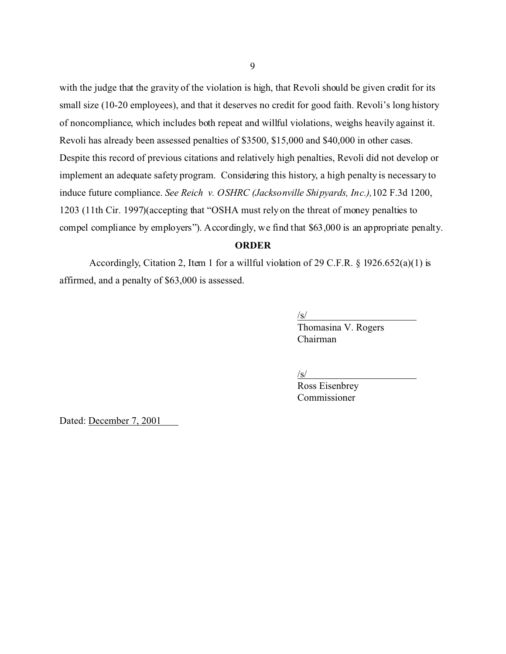with the judge that the gravity of the violation is high, that Revoli should be given credit for its small size (10-20 employees), and that it deserves no credit for good faith. Revoli's long history of noncompliance, which includes both repeat and willful violations, weighs heavily against it. Revoli has already been assessed penalties of \$3500, \$15,000 and \$40,000 in other cases. Despite this record of previous citations and relatively high penalties, Revoli did not develop or implement an adequate safety program. Considering this history, a high penalty is necessary to induce future compliance. *See Reich v. OSHRC (Jacksonville Shipyards, Inc.),*102 F.3d 1200, 1203 (11th Cir. 1997)(accepting that "OSHA must rely on the threat of money penalties to compel compliance by employers"). Accordingly, we find that \$63,000 is an appropriate penalty.

## **ORDER**

Accordingly, Citation 2, Item 1 for a willful violation of 29 C.F.R. § 1926.652(a)(1) is affirmed, and a penalty of \$63,000 is assessed.

> /s/ Thomasina V. Rogers Chairman

/s/

Ross Eisenbrey Commissioner

Dated: December 7, 2001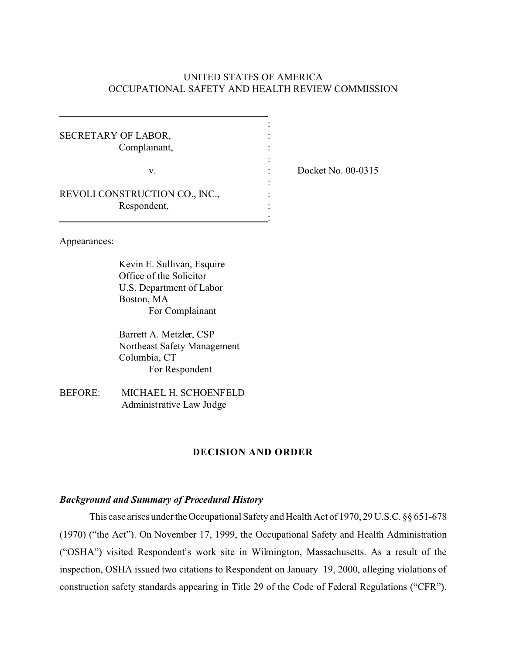## UNITED STATES OF AMERICA OCCUPATIONAL SAFETY AND HEALTH REVIEW COMMISSION

| SECRETARY OF LABOR,<br>Complainant,           |  |
|-----------------------------------------------|--|
| v.                                            |  |
| REVOLI CONSTRUCTION CO., INC.,<br>Respondent, |  |

: Docket No. 00-0315

Appearances:

Kevin E. Sullivan, Esquire Office of the Solicitor U.S. Department of Labor Boston, MA For Complainant

Barrett A. Metzler, CSP Northeast Safety Management Columbia, CT For Respondent

BEFORE: MICHAEL H. SCHOENFELD Administrative Law Judge

### **DECISION AND ORDER**

### *Background and Summary of Procedural History*

This case arises under the Occupational Safety and Health Act of 1970, 29 U.S.C. §§ 651-678 (1970) ("the Act"). On November 17, 1999, the Occupational Safety and Health Administration ("OSHA") visited Respondent's work site in Wilmington, Massachusetts. As a result of the inspection, OSHA issued two citations to Respondent on January 19, 2000, alleging violations of construction safety standards appearing in Title 29 of the Code of Federal Regulations ("CFR").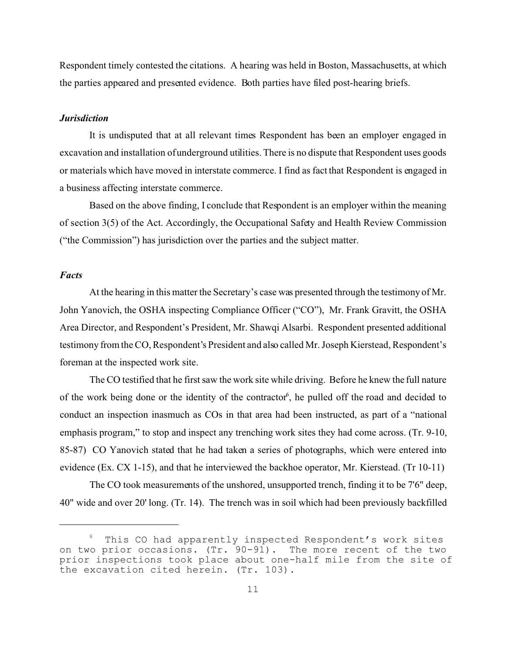Respondent timely contested the citations. A hearing was held in Boston, Massachusetts, at which the parties appeared and presented evidence. Both parties have filed post-hearing briefs.

### *Jurisdiction*

It is undisputed that at all relevant times Respondent has been an employer engaged in excavation and installation of underground utilities. There is no dispute that Respondent uses goods or materials which have moved in interstate commerce. I find as fact that Respondent is engaged in a business affecting interstate commerce.

Based on the above finding, I conclude that Respondent is an employer within the meaning of section 3(5) of the Act. Accordingly, the Occupational Safety and Health Review Commission ("the Commission") has jurisdiction over the parties and the subject matter.

#### *Facts*

At the hearing in this matter the Secretary's case was presented through the testimony of Mr. John Yanovich, the OSHA inspecting Compliance Officer ("CO"), Mr. Frank Gravitt, the OSHA Area Director, and Respondent's President, Mr. Shawqi Alsarbi. Respondent presented additional testimony from the CO, Respondent's President and also called Mr. Joseph Kierstead, Respondent's foreman at the inspected work site.

The CO testified that he first saw the work site while driving. Before he knew the full nature of the work being done or the identity of the contractor<sup>6</sup>, he pulled off the road and decided to conduct an inspection inasmuch as COs in that area had been instructed, as part of a "national emphasis program," to stop and inspect any trenching work sites they had come across. (Tr. 9-10, 85-87) CO Yanovich stated that he had taken a series of photographs, which were entered into evidence (Ex. CX 1-15), and that he interviewed the backhoe operator, Mr. Kierstead. (Tr 10-11)

The CO took measurements of the unshored, unsupported trench, finding it to be 7'6" deep, 40" wide and over 20' long. (Tr. 14). The trench was in soil which had been previously backfilled

 $6$  This CO had apparently inspected Respondent's work sites on two prior occasions. (Tr. 90-91). The more recent of the two prior inspections took place about one-half mile from the site of the excavation cited herein. (Tr. 103).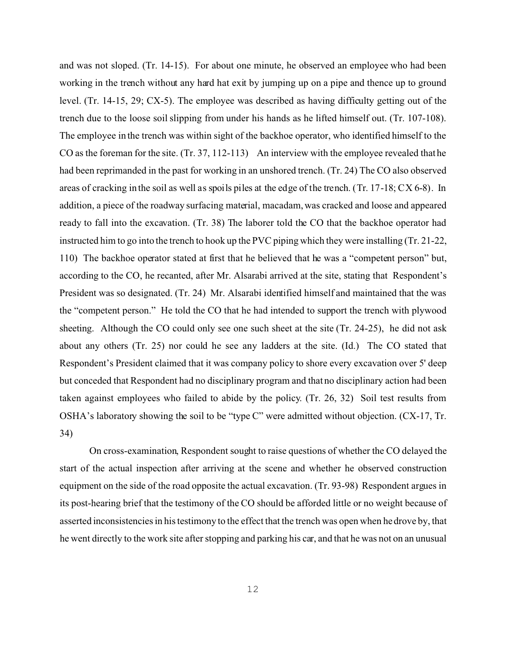and was not sloped. (Tr. 14-15). For about one minute, he observed an employee who had been working in the trench without any hard hat exit by jumping up on a pipe and thence up to ground level. (Tr. 14-15, 29; CX-5). The employee was described as having difficulty getting out of the trench due to the loose soil slipping from under his hands as he lifted himself out. (Tr. 107-108). The employee in the trench was within sight of the backhoe operator, who identified himself to the CO as the foreman for the site. (Tr. 37, 112-113) An interview with the employee revealed that he had been reprimanded in the past for working in an unshored trench. (Tr. 24) The CO also observed areas of cracking in the soil as well as spoils piles at the edge of the trench. (Tr. 17-18; CX 6-8). In addition, a piece of the roadway surfacing material, macadam, was cracked and loose and appeared ready to fall into the excavation. (Tr. 38) The laborer told the CO that the backhoe operator had instructed him to go into the trench to hook up the PVC piping which they were installing (Tr. 21-22, 110) The backhoe operator stated at first that he believed that he was a "competent person" but, according to the CO, he recanted, after Mr. Alsarabi arrived at the site, stating that Respondent's President was so designated. (Tr. 24) Mr. Alsarabi identified himself and maintained that the was the "competent person." He told the CO that he had intended to support the trench with plywood sheeting. Although the CO could only see one such sheet at the site (Tr. 24-25), he did not ask about any others (Tr. 25) nor could he see any ladders at the site. (Id.) The CO stated that Respondent's President claimed that it was company policy to shore every excavation over 5' deep but conceded that Respondent had no disciplinary program and that no disciplinary action had been taken against employees who failed to abide by the policy. (Tr. 26, 32) Soil test results from OSHA's laboratory showing the soil to be "type C" were admitted without objection. (CX-17, Tr. 34)

On cross-examination, Respondent sought to raise questions of whether the CO delayed the start of the actual inspection after arriving at the scene and whether he observed construction equipment on the side of the road opposite the actual excavation. (Tr. 93-98) Respondent argues in its post-hearing brief that the testimony of the CO should be afforded little or no weight because of asserted inconsistencies in his testimony to the effect that the trench was open when he drove by, that he went directly to the work site after stopping and parking his car, and that he was not on an unusual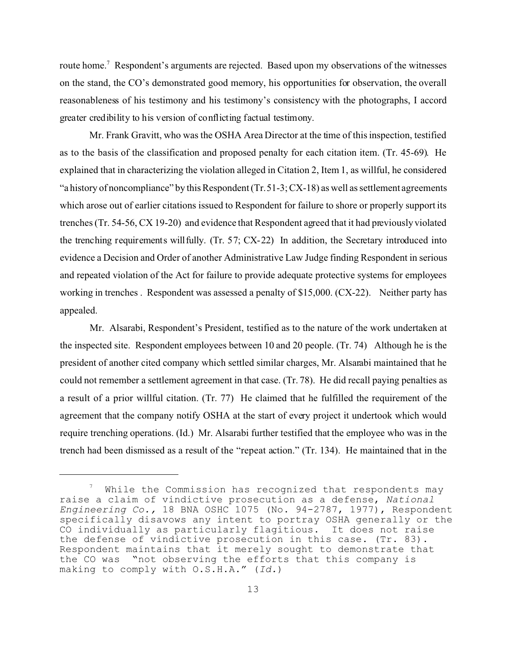route home.<sup>7</sup> Respondent's arguments are rejected. Based upon my observations of the witnesses on the stand, the CO's demonstrated good memory, his opportunities for observation, the overall reasonableness of his testimony and his testimony's consistency with the photographs, I accord greater credibility to his version of conflicting factual testimony.

Mr. Frank Gravitt, who was the OSHA Area Director at the time of this inspection, testified as to the basis of the classification and proposed penalty for each citation item. (Tr. 45-69). He explained that in characterizing the violation alleged in Citation 2, Item 1, as willful, he considered "a history of noncompliance" by this Respondent (Tr.51-3; CX-18) as well as settlement agreements which arose out of earlier citations issued to Respondent for failure to shore or properly support its trenches (Tr. 54-56, CX 19-20) and evidence that Respondent agreed that it had previously violated the trenching requirements willfully. (Tr. 57; CX-22) In addition, the Secretary introduced into evidence a Decision and Order of another Administrative Law Judge finding Respondent in serious and repeated violation of the Act for failure to provide adequate protective systems for employees working in trenches . Respondent was assessed a penalty of \$15,000. (CX-22). Neither party has appealed.

Mr. Alsarabi, Respondent's President, testified as to the nature of the work undertaken at the inspected site. Respondent employees between 10 and 20 people. (Tr. 74) Although he is the president of another cited company which settled similar charges, Mr. Alsarabi maintained that he could not remember a settlement agreement in that case. (Tr. 78). He did recall paying penalties as a result of a prior willful citation. (Tr. 77) He claimed that he fulfilled the requirement of the agreement that the company notify OSHA at the start of every project it undertook which would require trenching operations. (Id.) Mr. Alsarabi further testified that the employee who was in the trench had been dismissed as a result of the "repeat action." (Tr. 134). He maintained that in the

 $\scriptstyle{7}$  While the Commission has recognized that respondents may raise a claim of vindictive prosecution as a defense, *National Engineering Co.,* 18 BNA OSHC 1075 (No. 94-2787, 1977), Respondent specifically disavows any intent to portray OSHA generally or the CO individually as particularly flagitious. It does not raise the defense of vindictive prosecution in this case. (Tr. 83). Respondent maintains that it merely sought to demonstrate that the CO was "not observing the efforts that this company is making to comply with O.S.H.A." (*Id.*)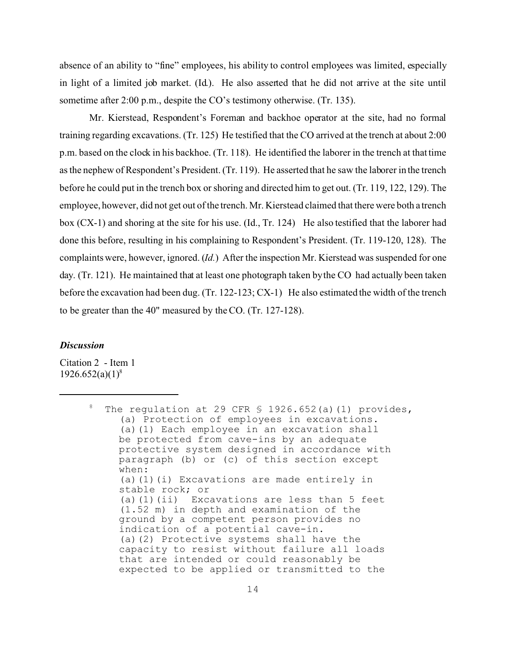absence of an ability to "fine" employees, his ability to control employees was limited, especially in light of a limited job market. (Id.). He also asserted that he did not arrive at the site until sometime after 2:00 p.m., despite the CO's testimony otherwise. (Tr. 135).

Mr. Kierstead, Respondent's Foreman and backhoe operator at the site, had no formal training regarding excavations. (Tr. 125) He testified that the CO arrived at the trench at about 2:00 p.m. based on the clock in his backhoe. (Tr. 118). He identified the laborer in the trench at that time as the nephew of Respondent's President. (Tr. 119). He asserted that he saw the laborer in the trench before he could put in the trench box or shoring and directed him to get out. (Tr. 119, 122, 129). The employee, however, did not get out of the trench. Mr. Kierstead claimed that there were both a trench box (CX-1) and shoring at the site for his use. (Id., Tr. 124) He also testified that the laborer had done this before, resulting in his complaining to Respondent's President. (Tr. 119-120, 128). The complaints were, however, ignored. (*Id.*) After the inspection Mr. Kierstead was suspended for one day. (Tr. 121). He maintained that at least one photograph taken bythe CO had actually been taken before the excavation had been dug. (Tr. 122-123; CX-1) He also estimated the width of the trench to be greater than the 40" measured by the CO. (Tr. 127-128).

## *Discussion*

Citation 2 - Item 1  $1926.652(a)(1)^8$ 

<sup>&</sup>lt;sup>8</sup> The regulation at 29 CFR  $$ 1926.652(a)(1)$  provides, (a) Protection of employees in excavations. (a)(1) Each employee in an excavation shall be protected from cave-ins by an adequate protective system designed in accordance with paragraph (b) or (c) of this section except when: (a)(1)(i) Excavations are made entirely in stable rock; or (a)(1)(ii) Excavations are less than 5 feet (1.52 m) in depth and examination of the ground by a competent person provides no indication of a potential cave-in. (a)(2) Protective systems shall have the capacity to resist without failure all loads that are intended or could reasonably be expected to be applied or transmitted to the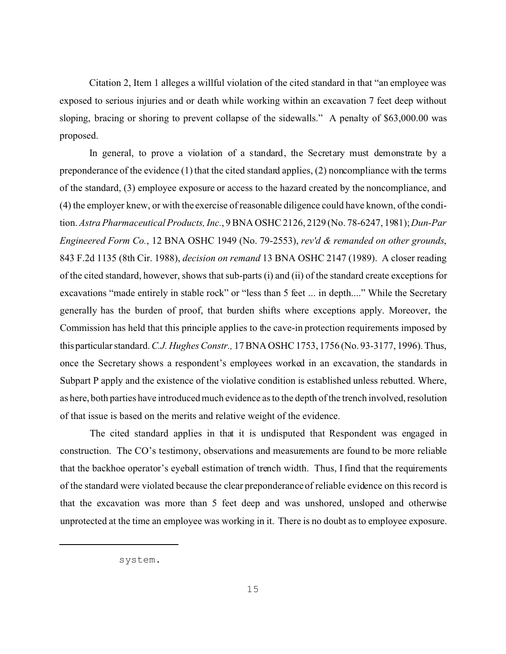Citation 2, Item 1 alleges a willful violation of the cited standard in that "an employee was exposed to serious injuries and or death while working within an excavation 7 feet deep without sloping, bracing or shoring to prevent collapse of the sidewalls." A penalty of \$63,000.00 was proposed.

In general, to prove a violation of a standard, the Secretary must demonstrate by a preponderance of the evidence (1) that the cited standard applies, (2) noncompliance with the terms of the standard, (3) employee exposure or access to the hazard created by the noncompliance, and (4) the employer knew, or with the exercise of reasonable diligence could have known, of the condition. *Astra Pharmaceutical Products, Inc.*, 9 BNA OSHC 2126, 2129 (No. 78-6247, 1981); *Dun-Par Engineered Form Co.*, 12 BNA OSHC 1949 (No. 79-2553), *rev'd & remanded on other grounds*, 843 F.2d 1135 (8th Cir. 1988), *decision on remand* 13 BNA OSHC 2147 (1989). A closer reading of the cited standard, however, shows that sub-parts (i) and (ii) of the standard create exceptions for excavations "made entirely in stable rock" or "less than 5 feet ... in depth...." While the Secretary generally has the burden of proof, that burden shifts where exceptions apply. Moreover, the Commission has held that this principle applies to the cave-in protection requirements imposed by this particular standard. *C.J. Hughes Constr.,* 17 BNA OSHC 1753, 1756 (No. 93-3177, 1996). Thus, once the Secretary shows a respondent's employees worked in an excavation, the standards in Subpart P apply and the existence of the violative condition is established unless rebutted. Where, as here, both parties have introduced much evidence as to the depth of the trench involved, resolution of that issue is based on the merits and relative weight of the evidence.

The cited standard applies in that it is undisputed that Respondent was engaged in construction. The CO's testimony, observations and measurements are found to be more reliable that the backhoe operator's eyeball estimation of trench width. Thus, I find that the requirements of the standard were violated because the clear preponderance of reliable evidence on this record is that the excavation was more than 5 feet deep and was unshored, unsloped and otherwise unprotected at the time an employee was working in it. There is no doubt as to employee exposure.

system.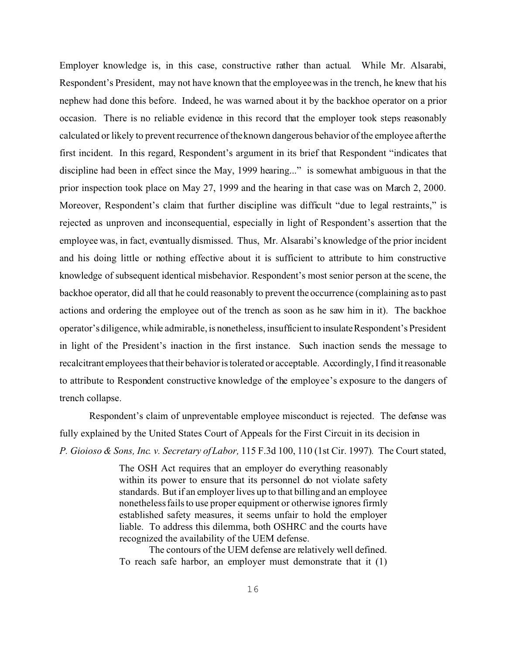Employer knowledge is, in this case, constructive rather than actual. While Mr. Alsarabi, Respondent's President, may not have known that the employee was in the trench, he knew that his nephew had done this before. Indeed, he was warned about it by the backhoe operator on a prior occasion. There is no reliable evidence in this record that the employer took steps reasonably calculated or likely to prevent recurrence of the known dangerous behavior of the employee after the first incident. In this regard, Respondent's argument in its brief that Respondent "indicates that discipline had been in effect since the May, 1999 hearing..." is somewhat ambiguous in that the prior inspection took place on May 27, 1999 and the hearing in that case was on March 2, 2000. Moreover, Respondent's claim that further discipline was difficult "due to legal restraints," is rejected as unproven and inconsequential, especially in light of Respondent's assertion that the employee was, in fact, eventually dismissed. Thus, Mr. Alsarabi's knowledge of the prior incident and his doing little or nothing effective about it is sufficient to attribute to him constructive knowledge of subsequent identical misbehavior. Respondent's most senior person at the scene, the backhoe operator, did all that he could reasonably to prevent the occurrence (complaining as to past actions and ordering the employee out of the trench as soon as he saw him in it). The backhoe operator's diligence, while admirable, is nonetheless, insufficient to insulateRespondent's President in light of the President's inaction in the first instance. Such inaction sends the message to recalcitrant employees that their behavior is tolerated or acceptable. Accordingly, I find it reasonable to attribute to Respondent constructive knowledge of the employee's exposure to the dangers of trench collapse.

Respondent's claim of unpreventable employee misconduct is rejected. The defense was fully explained by the United States Court of Appeals for the First Circuit in its decision in *P. Gioioso & Sons, Inc. v. Secretary of Labor,* 115 F.3d 100, 110 (1st Cir. 1997)*.* The Court stated,

> The OSH Act requires that an employer do everything reasonably within its power to ensure that its personnel do not violate safety standards. But if an employer lives up to that billing and an employee nonetheless fails to use proper equipment or otherwise ignores firmly established safety measures, it seems unfair to hold the employer liable. To address this dilemma, both OSHRC and the courts have recognized the availability of the UEM defense.

> The contours of the UEM defense are relatively well defined. To reach safe harbor, an employer must demonstrate that it (1)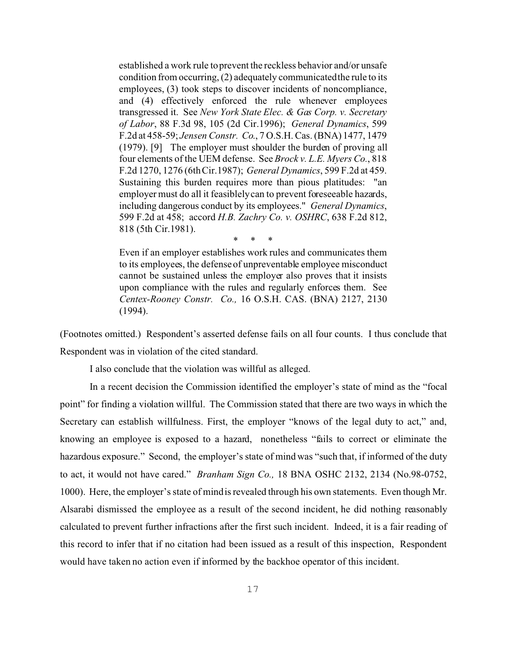established a work rule to prevent the reckless behavior and/or unsafe condition from occurring, (2) adequately communicatedthe rule to its employees, (3) took steps to discover incidents of noncompliance, and (4) effectively enforced the rule whenever employees transgressed it. See *New York State Elec. & Gas Corp. v. Secretary of Labor*, 88 F.3d 98, 105 (2d Cir.1996); *General Dynamics*, 599 F.2d at 458-59; *Jensen Constr. Co*., 7 O.S.H. Cas. (BNA) 1477, 1479 (1979). [9] The employer must shoulder the burden of proving all four elements of the UEM defense. See *Brock v. L.E. Myers Co.*, 818 F.2d 1270, 1276 (6th Cir.1987); *General Dynamics*, 599 F.2d at 459. Sustaining this burden requires more than pious platitudes: "an employer must do all it feasiblelycan to prevent foreseeable hazards, including dangerous conduct by its employees." *General Dynamics*, 599 F.2d at 458; accord *H.B. Zachry Co. v. OSHRC*, 638 F.2d 812, 818 (5th Cir.1981).

\* \* \*

Even if an employer establishes work rules and communicates them to its employees, the defense of unpreventable employee misconduct cannot be sustained unless the employer also proves that it insists upon compliance with the rules and regularly enforces them. See *Centex-Rooney Constr. Co.,* 16 O.S.H. CAS. (BNA) 2127, 2130 (1994).

(Footnotes omitted.) Respondent's asserted defense fails on all four counts. I thus conclude that Respondent was in violation of the cited standard.

I also conclude that the violation was willful as alleged.

In a recent decision the Commission identified the employer's state of mind as the "focal point" for finding a violation willful. The Commission stated that there are two ways in which the Secretary can establish willfulness. First, the employer "knows of the legal duty to act," and, knowing an employee is exposed to a hazard, nonetheless "fails to correct or eliminate the hazardous exposure." Second, the employer's state of mind was "such that, if informed of the duty to act, it would not have cared." *Branham Sign Co.,* 18 BNA OSHC 2132, 2134 (No.98-0752, 1000). Here, the employer's state of mind is revealed through his own statements. Even though Mr. Alsarabi dismissed the employee as a result of the second incident, he did nothing reasonably calculated to prevent further infractions after the first such incident. Indeed, it is a fair reading of this record to infer that if no citation had been issued as a result of this inspection, Respondent would have taken no action even if informed by the backhoe operator of this incident.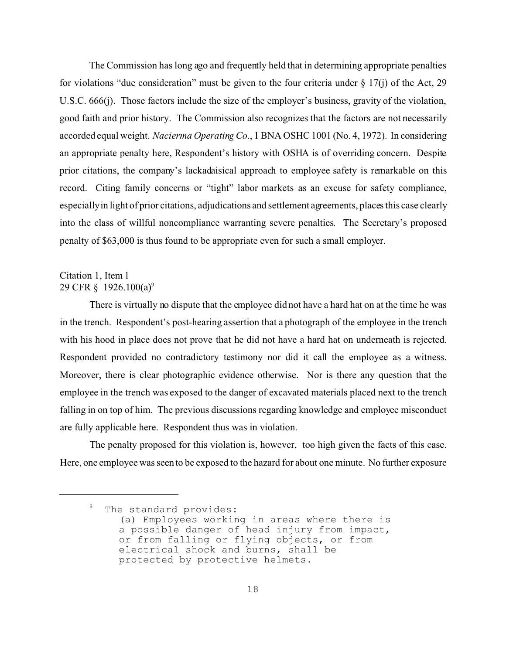The Commission has long ago and frequently held that in determining appropriate penalties for violations "due consideration" must be given to the four criteria under  $\S$  17(j) of the Act, 29 U.S.C. 666(j). Those factors include the size of the employer's business, gravity of the violation, good faith and prior history. The Commission also recognizes that the factors are not necessarily accorded equal weight. *Nacierma Operating Co*., 1 BNA OSHC 1001 (No. 4, 1972). In considering an appropriate penalty here, Respondent's history with OSHA is of overriding concern. Despite prior citations, the company's lackadaisical approach to employee safety is remarkable on this record. Citing family concerns or "tight" labor markets as an excuse for safety compliance, especiallyin light of prior citations, adjudications and settlement agreements, places this case clearly into the class of willful noncompliance warranting severe penalties. The Secretary's proposed penalty of \$63,000 is thus found to be appropriate even for such a small employer.

# Citation 1, Item 1 29 CFR  $\S$  1926.100(a)<sup>9</sup>

There is virtually no dispute that the employee did not have a hard hat on at the time he was in the trench. Respondent's post-hearing assertion that a photograph of the employee in the trench with his hood in place does not prove that he did not have a hard hat on underneath is rejected. Respondent provided no contradictory testimony nor did it call the employee as a witness. Moreover, there is clear photographic evidence otherwise. Nor is there any question that the employee in the trench was exposed to the danger of excavated materials placed next to the trench falling in on top of him. The previous discussions regarding knowledge and employee misconduct are fully applicable here. Respondent thus was in violation.

The penalty proposed for this violation is, however, too high given the facts of this case. Here, one employee was seen to be exposed to the hazard for about one minute. No further exposure

 $9$  The standard provides: (a) Employees working in areas where there is a possible danger of head injury from impact, or from falling or flying objects, or from electrical shock and burns, shall be protected by protective helmets.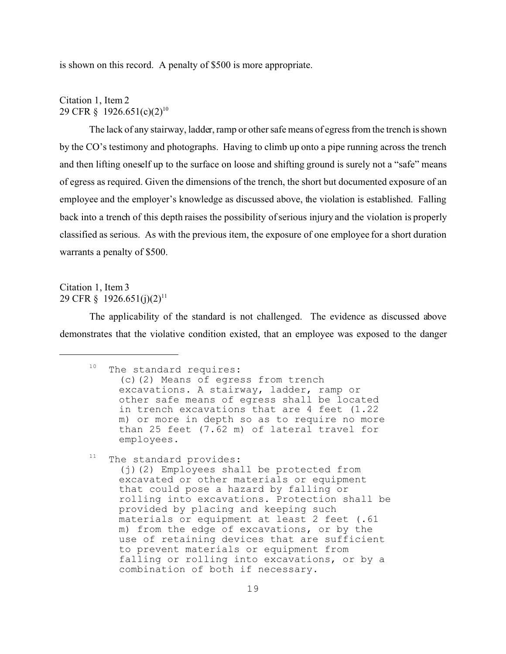is shown on this record. A penalty of \$500 is more appropriate.

Citation 1, Item 2 29 CFR § 1926.651(c)(2)<sup>10</sup>

The lack of any stairway, ladder, ramp or other safe means of egress from the trench is shown by the CO's testimony and photographs. Having to climb up onto a pipe running across the trench and then lifting oneself up to the surface on loose and shifting ground is surely not a "safe" means of egress as required. Given the dimensions of the trench, the short but documented exposure of an employee and the employer's knowledge as discussed above, the violation is established. Falling back into a trench of this depth raises the possibility of serious injury and the violation is properly classified as serious. As with the previous item, the exposure of one employee for a short duration warrants a penalty of \$500.

# Citation 1, Item 3 29 CFR § 1926.651(j)(2)<sup>11</sup>

The applicability of the standard is not challenged. The evidence as discussed above demonstrates that the violative condition existed, that an employee was exposed to the danger

<sup>10</sup> The standard requires: (c)(2) Means of egress from trench excavations. A stairway, ladder, ramp or other safe means of egress shall be located in trench excavations that are 4 feet (1.22 m) or more in depth so as to require no more than 25 feet (7.62 m) of lateral travel for employees.

 $11$  The standard provides:

(j)(2) Employees shall be protected from excavated or other materials or equipment that could pose a hazard by falling or rolling into excavations. Protection shall be provided by placing and keeping such materials or equipment at least 2 feet (.61 m) from the edge of excavations, or by the use of retaining devices that are sufficient to prevent materials or equipment from falling or rolling into excavations, or by a combination of both if necessary.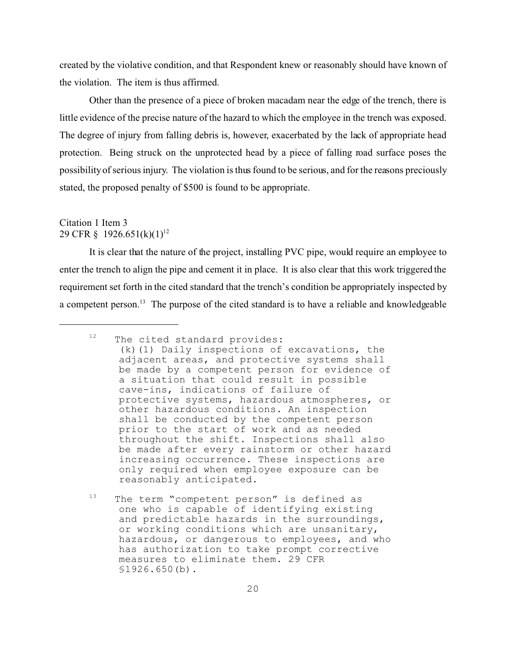created by the violative condition, and that Respondent knew or reasonably should have known of the violation. The item is thus affirmed.

Other than the presence of a piece of broken macadam near the edge of the trench, there is little evidence of the precise nature of the hazard to which the employee in the trench was exposed. The degree of injury from falling debris is, however, exacerbated by the lack of appropriate head protection. Being struck on the unprotected head by a piece of falling road surface poses the possibility of serious injury. The violation is thus found to be serious, and for the reasons preciously stated, the proposed penalty of \$500 is found to be appropriate.

# Citation 1 Item 3 29 CFR § 1926.651(k)(1)<sup>12</sup>

It is clear that the nature of the project, installing PVC pipe, would require an employee to enter the trench to align the pipe and cement it in place. It is also clear that this work triggered the requirement set forth in the cited standard that the trench's condition be appropriately inspected by a competent person.<sup>13</sup> The purpose of the cited standard is to have a reliable and knowledgeable

 $12$  The cited standard provides: (k)(1) Daily inspections of excavations, the adjacent areas, and protective systems shall be made by a competent person for evidence of a situation that could result in possible cave-ins, indications of failure of protective systems, hazardous atmospheres, or other hazardous conditions. An inspection shall be conducted by the competent person prior to the start of work and as needed throughout the shift. Inspections shall also be made after every rainstorm or other hazard increasing occurrence. These inspections are only required when employee exposure can be reasonably anticipated.

<sup>&</sup>lt;sup>13</sup> The term "competent person" is defined as one who is capable of identifying existing and predictable hazards in the surroundings, or working conditions which are unsanitary, hazardous, or dangerous to employees, and who has authorization to take prompt corrective measures to eliminate them. 29 CFR §1926.650(b).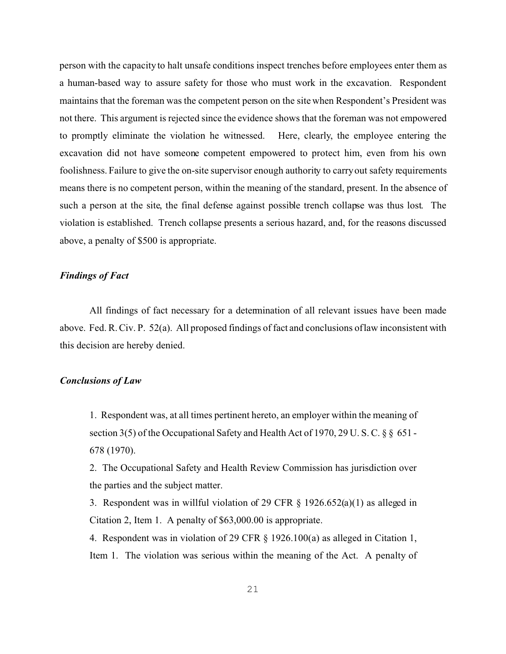person with the capacity to halt unsafe conditions inspect trenches before employees enter them as a human-based way to assure safety for those who must work in the excavation. Respondent maintains that the foreman was the competent person on the site when Respondent's President was not there. This argument is rejected since the evidence shows that the foreman was not empowered to promptly eliminate the violation he witnessed. Here, clearly, the employee entering the excavation did not have someone competent empowered to protect him, even from his own foolishness. Failure to give the on-site supervisor enough authority to carry out safety requirements means there is no competent person, within the meaning of the standard, present. In the absence of such a person at the site, the final defense against possible trench collapse was thus lost. The violation is established. Trench collapse presents a serious hazard, and, for the reasons discussed above, a penalty of \$500 is appropriate.

#### *Findings of Fact*

All findings of fact necessary for a determination of all relevant issues have been made above. Fed. R. Civ. P. 52(a). All proposed findings of fact and conclusions oflaw inconsistent with this decision are hereby denied.

## *Conclusions of Law*

1. Respondent was, at all times pertinent hereto, an employer within the meaning of section 3(5) of the Occupational Safety and Health Act of 1970, 29 U. S. C. § § 651 - 678 (1970).

2. The Occupational Safety and Health Review Commission has jurisdiction over the parties and the subject matter.

3. Respondent was in willful violation of 29 CFR  $\S$  1926.652(a)(1) as alleged in Citation 2, Item 1. A penalty of \$63,000.00 is appropriate.

4. Respondent was in violation of 29 CFR  $\S$  1926.100(a) as alleged in Citation 1, Item 1. The violation was serious within the meaning of the Act. A penalty of